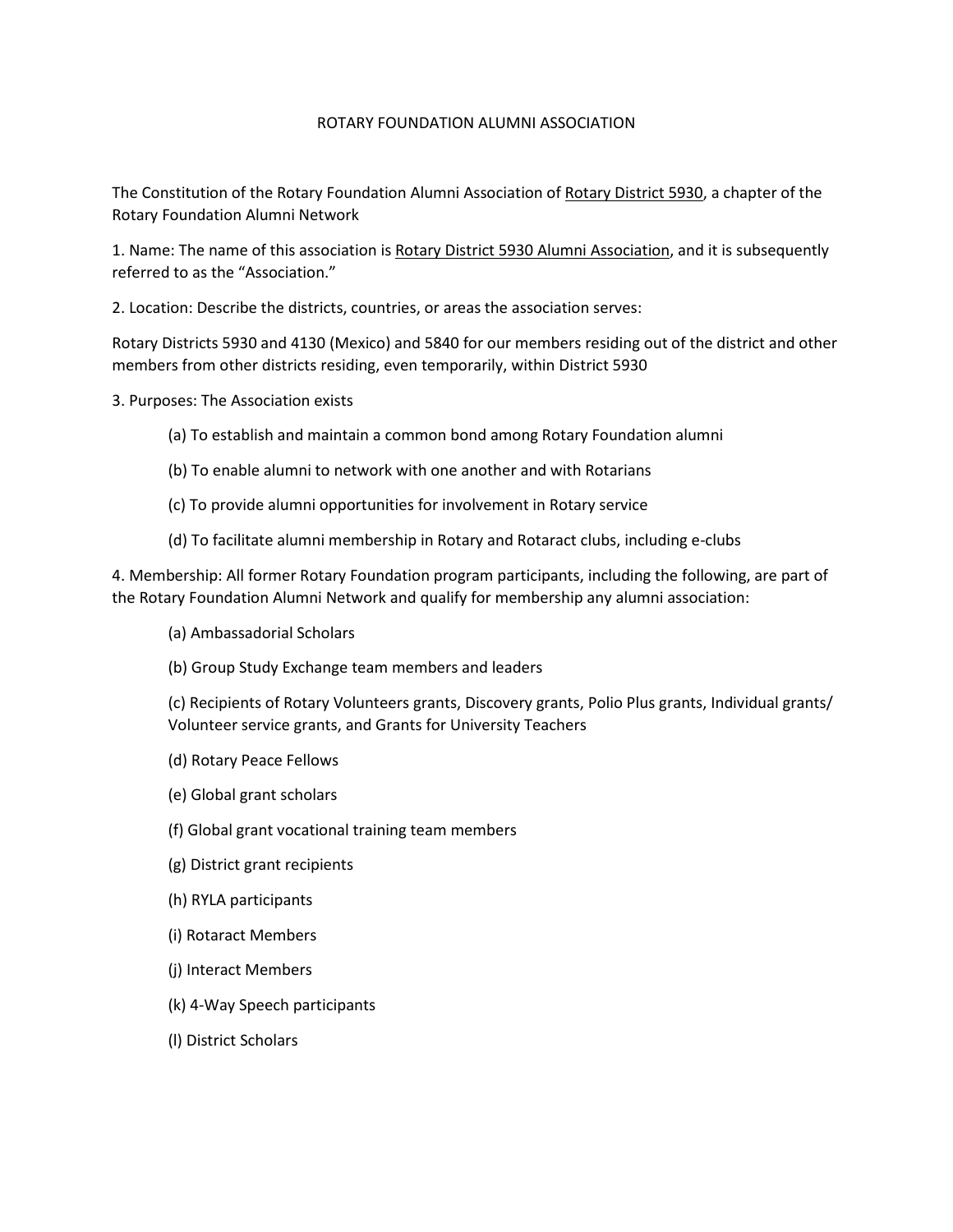## ROTARY FOUNDATION ALUMNI ASSOCIATION

The Constitution of the Rotary Foundation Alumni Association of Rotary District 5930, a chapter of the Rotary Foundation Alumni Network

1. Name: The name of this association is Rotary District 5930 Alumni Association, and it is subsequently referred to as the "Association."

2. Location: Describe the districts, countries, or areas the association serves:

Rotary Districts 5930 and 4130 (Mexico) and 5840 for our members residing out of the district and other members from other districts residing, even temporarily, within District 5930

3. Purposes: The Association exists

- (a) To establish and maintain a common bond among Rotary Foundation alumni
- (b) To enable alumni to network with one another and with Rotarians
- (c) To provide alumni opportunities for involvement in Rotary service
- (d) To facilitate alumni membership in Rotary and Rotaract clubs, including e-clubs

4. Membership: All former Rotary Foundation program participants, including the following, are part of the Rotary Foundation Alumni Network and qualify for membership any alumni association:

- (a) Ambassadorial Scholars
- (b) Group Study Exchange team members and leaders

(c) Recipients of Rotary Volunteers grants, Discovery grants, Polio Plus grants, Individual grants/ Volunteer service grants, and Grants for University Teachers

- (d) Rotary Peace Fellows
- (e) Global grant scholars
- (f) Global grant vocational training team members
- (g) District grant recipients
- (h) RYLA participants
- (i) Rotaract Members
- (j) Interact Members
- (k) 4-Way Speech participants
- (l) District Scholars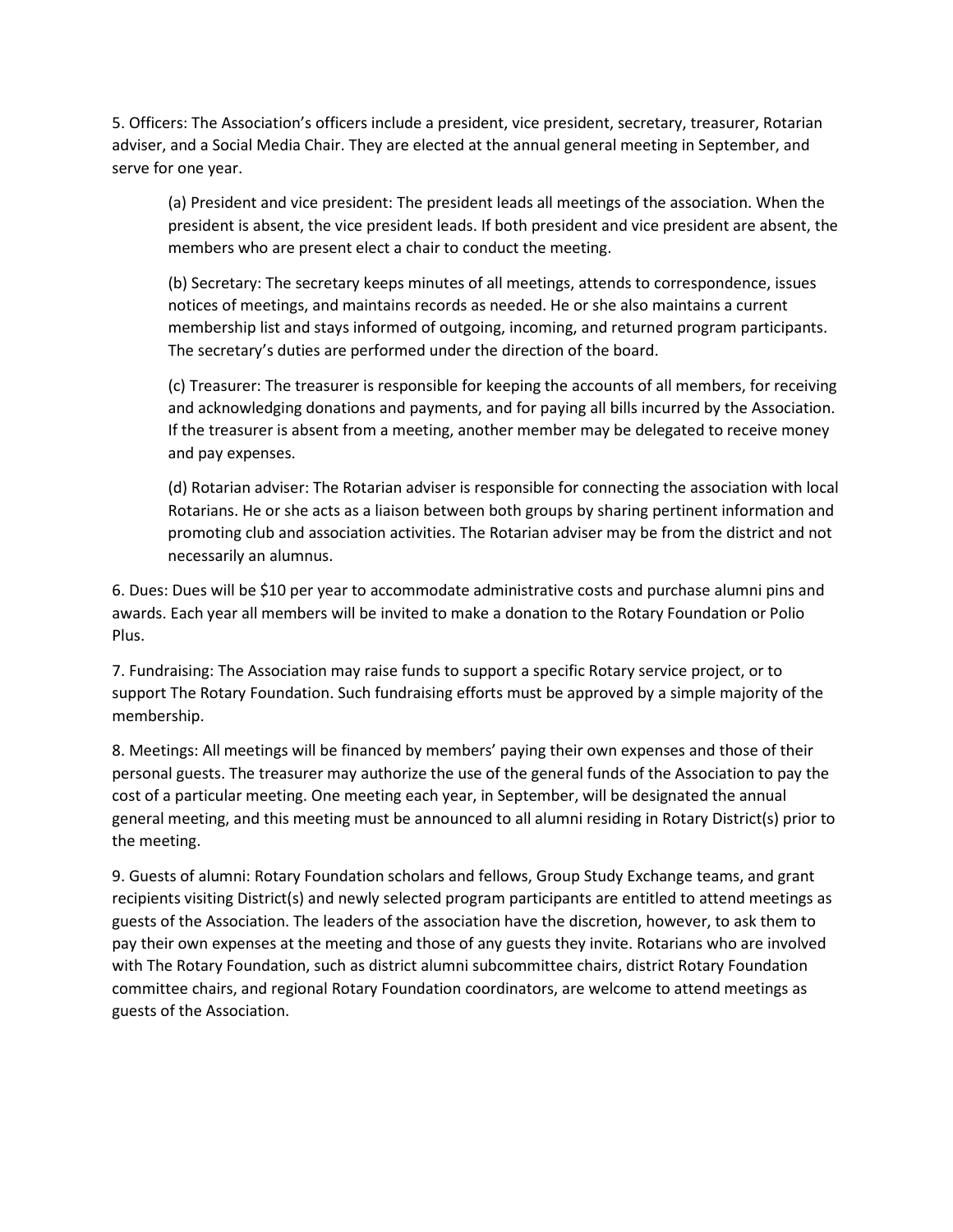5. Officers: The Association's officers include a president, vice president, secretary, treasurer, Rotarian adviser, and a Social Media Chair. They are elected at the annual general meeting in September, and serve for one year.

(a) President and vice president: The president leads all meetings of the association. When the president is absent, the vice president leads. If both president and vice president are absent, the members who are present elect a chair to conduct the meeting.

(b) Secretary: The secretary keeps minutes of all meetings, attends to correspondence, issues notices of meetings, and maintains records as needed. He or she also maintains a current membership list and stays informed of outgoing, incoming, and returned program participants. The secretary's duties are performed under the direction of the board.

(c) Treasurer: The treasurer is responsible for keeping the accounts of all members, for receiving and acknowledging donations and payments, and for paying all bills incurred by the Association. If the treasurer is absent from a meeting, another member may be delegated to receive money and pay expenses.

(d) Rotarian adviser: The Rotarian adviser is responsible for connecting the association with local Rotarians. He or she acts as a liaison between both groups by sharing pertinent information and promoting club and association activities. The Rotarian adviser may be from the district and not necessarily an alumnus.

6. Dues: Dues will be \$10 per year to accommodate administrative costs and purchase alumni pins and awards. Each year all members will be invited to make a donation to the Rotary Foundation or Polio Plus.

7. Fundraising: The Association may raise funds to support a specific Rotary service project, or to support The Rotary Foundation. Such fundraising efforts must be approved by a simple majority of the membership.

8. Meetings: All meetings will be financed by members' paying their own expenses and those of their personal guests. The treasurer may authorize the use of the general funds of the Association to pay the cost of a particular meeting. One meeting each year, in September, will be designated the annual general meeting, and this meeting must be announced to all alumni residing in Rotary District(s) prior to the meeting.

9. Guests of alumni: Rotary Foundation scholars and fellows, Group Study Exchange teams, and grant recipients visiting District(s) and newly selected program participants are entitled to attend meetings as guests of the Association. The leaders of the association have the discretion, however, to ask them to pay their own expenses at the meeting and those of any guests they invite. Rotarians who are involved with The Rotary Foundation, such as district alumni subcommittee chairs, district Rotary Foundation committee chairs, and regional Rotary Foundation coordinators, are welcome to attend meetings as guests of the Association.